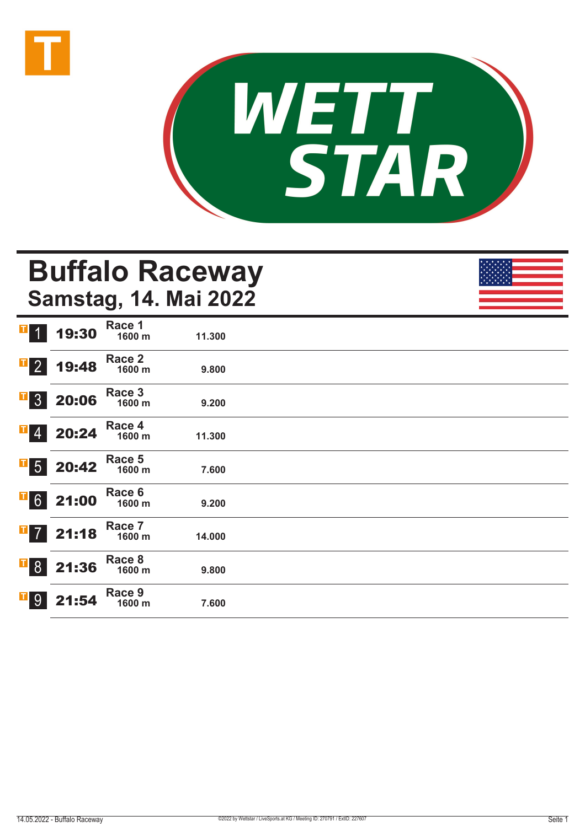



# **Buffalo Raceway Samstag, 14. Mai 2022**

|                             |       | Race 1           |        |  |
|-----------------------------|-------|------------------|--------|--|
| $\blacksquare$<br>$\vert$ 1 | 19:30 | 1600 m           | 11.300 |  |
|                             |       |                  |        |  |
| $\overline{1}$ 2            |       | Race 2           |        |  |
|                             | 19:48 | 1600 m           | 9.800  |  |
|                             |       | Race 3           |        |  |
| $\overline{1}$ 3            | 20:06 | 1600 m           | 9.200  |  |
|                             |       |                  |        |  |
| $\overline{1}$ 4            | 20:24 | Race 4<br>1600 m |        |  |
|                             |       |                  | 11.300 |  |
|                             |       | Race 5           |        |  |
| $\overline{\phantom{a}}$ 5  | 20:42 | 1600 m           | 7.600  |  |
|                             |       |                  |        |  |
| $\overline{1}$ 6            | 21:00 | Race 6<br>1600 m | 9.200  |  |
|                             |       |                  |        |  |
|                             |       | Race 7           |        |  |
| $\overline{1}$ 7            | 21:18 | 1600 m           | 14.000 |  |
|                             |       |                  |        |  |
| $\overline{1}8$             | 21:36 | Race 8<br>1600 m | 9.800  |  |
|                             |       |                  |        |  |
|                             |       | Race 9           |        |  |
| $\overline{1}$ 9            | 21:54 | 1600 m           | 7.600  |  |
|                             |       |                  |        |  |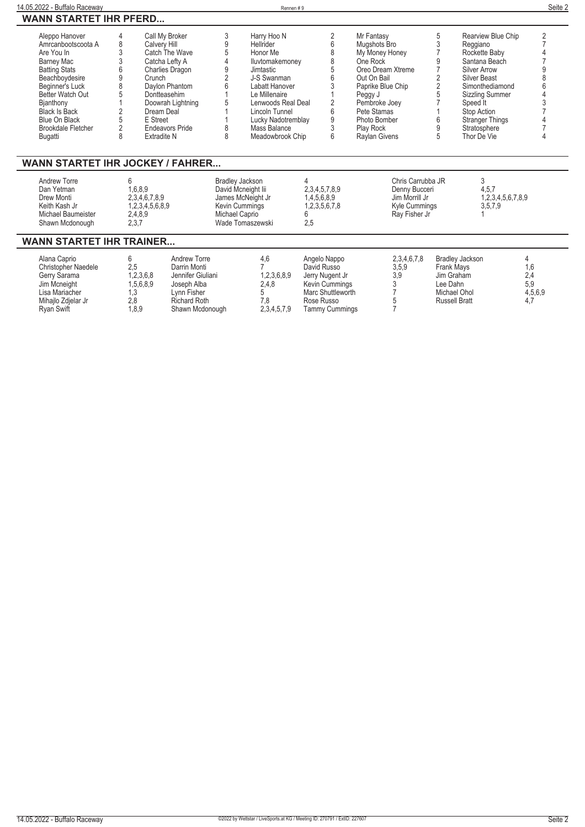| 14.05.2022 - Buffalo Raceway            |                |                        |                    |                        | Rennen#9      |                     |                      |   |                             | Seite 2 |
|-----------------------------------------|----------------|------------------------|--------------------|------------------------|---------------|---------------------|----------------------|---|-----------------------------|---------|
| <b>WANN STARTET IHR PFERD</b>           |                |                        |                    |                        |               |                     |                      |   |                             |         |
| Aleppo Hanover                          | 4              | Call My Broker         | 3                  | Harry Hoo N            |               | $\overline{2}$      | Mr Fantasy           | 5 | Rearview Blue Chip          | 2       |
| Amrcanbootscoota A                      | 8              | <b>Calvery Hill</b>    | 9                  | <b>Hellrider</b>       |               | 6                   | Mugshots Bro         |   | Reggiano                    |         |
| Are You In                              | 3              | Catch The Wave         | 5                  | Honor Me               |               |                     | My Money Honey       |   | Rockette Baby               |         |
| Barney Mac                              |                | Catcha Lefty A         |                    | Iluvtomakemoney        |               | 8                   | One Rock             |   | Santana Beach               |         |
| <b>Batting Stats</b>                    | 6              | <b>Charlies Dragon</b> | 9                  | Jimtastic              |               |                     | Oreo Dream Xtreme    |   | <b>Silver Arrow</b>         |         |
| Beachboydesire                          | 9              | Crunch                 |                    | J-S Swanman            |               |                     | Out On Bail          |   | <b>Silver Beast</b>         |         |
| Beginner's Luck                         | 8              | Daylon Phantom         |                    | Labatt Hanover         |               |                     | Paprike Blue Chip    |   | Simonthediamond             |         |
| Better Watch Out                        |                | Dontteasehim           |                    | Le Millenaire          |               |                     | Peggy J              |   | <b>Sizzling Summer</b>      |         |
| Bjanthony                               |                | Doowrah Lightning      |                    | Lenwoods Real Deal     |               |                     | Pembroke Joey        |   | Speed It                    |         |
| <b>Black Is Back</b>                    |                | Dream Deal             |                    | Lincoln Tunnel         |               | ĥ                   | Pete Stamas          |   | Stop Action                 |         |
| Blue On Black                           |                | E Street               |                    | Lucky Nadotremblay     |               | 9                   | Photo Bomber         |   | <b>Stranger Things</b>      |         |
| <b>Brookdale Fletcher</b>               | $\overline{c}$ | <b>Endeavors Pride</b> |                    | Mass Balance           |               |                     | <b>Play Rock</b>     |   | Stratosphere                |         |
| Bugatti                                 | 8              | <b>Extradite N</b>     | 8                  | Meadowbrook Chip       |               | 6                   | <b>Raylan Givens</b> |   | Thor De Vie                 |         |
| <b>WANN STARTET IHR JOCKEY / FAHRER</b> |                |                        |                    |                        |               |                     |                      |   |                             |         |
| <b>Andrew Torre</b>                     | հ              |                        |                    | <b>Bradley Jackson</b> | 4             |                     | Chris Carrubba JR    |   | 3                           |         |
| Dan Yetman                              |                | 1,6,8,9                | David Mcneight lii |                        |               | 2, 3, 4, 5, 7, 8, 9 | Denny Bucceri        |   | 4,5,7                       |         |
| Drew Monti                              |                | 2,3,4,6,7,8,9          |                    | James McNeight Jr      |               | 1,4,5,6,8,9         | Jim Morrill Jr       |   | 1,2,3,4,5,6,7,8,9           |         |
| Keith Kash Jr                           |                | 1,2,3,4,5,6,8,9        |                    | <b>Kevin Cummings</b>  | 1,2,3,5,6,7,8 |                     | Kyle Cummings        |   | 3,5,7,9                     |         |
| Michael Baumeister                      |                | 2,4,8,9                |                    | Michael Caprio         | 6             |                     | Ray Fisher Jr        |   |                             |         |
| Shawn Mcdonough                         |                | 2,3,7                  |                    | Wade Tomaszewski       | 2,5           |                     |                      |   |                             |         |
| <b>WANN STARTET IHR TRAINER</b>         |                |                        |                    |                        |               |                     |                      |   |                             |         |
| Alana Caprio                            | 6              | <b>Andrew Torre</b>    |                    | 4,6                    |               | Angelo Nappo        | 2,3,4,6,7,8          |   | <b>Bradley Jackson</b><br>4 |         |

| Alana Caprio               |           | Andrew Torre        | 4.6         | Angelo Nappo      | 2,3,4,6,7,8 | Bradlev Jackson      |         |
|----------------------------|-----------|---------------------|-------------|-------------------|-------------|----------------------|---------|
| <b>Christopher Naedele</b> | 2.5       | Darrin Monti        |             | David Russo       | 3,5,9       | <b>Frank Mays</b>    |         |
| Gerry Sarama               | 1,2,3,6,8 | Jennifer Giuliani   | 1,2,3,6,8,9 | Jerry Nugent Jr   | 3.9         | Jim Graham           |         |
| Jim Mcneight               | 1.5.6.8.9 | Joseph Alba         | 2.4.8       | Kevin Cummings    |             | Lee Dahn             |         |
| Lisa Mariacher             | ن. ا      | Lvnn Fisher         |             | Marc Shuttleworth |             | Michael Ohol         | 4,5,6,9 |
| Mihailo Zdielar Jr         | 2.8       | <b>Richard Roth</b> |             | Rose Russo        |             | <b>Russell Bratt</b> |         |
| <b>Rvan Swift</b>          | 1.8.9     | Shawn Mcdonough     | 2,3,4,5,7,9 | Tammy Cummings    |             |                      |         |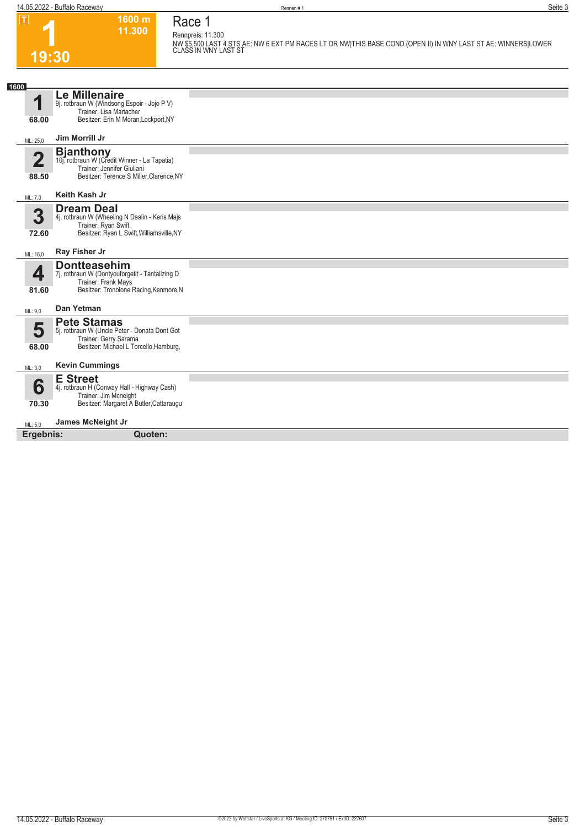**Race 1**

**1600 m 11.300** 

**1 19:30**

**Rennpreis: 11.300 NW \$5,500 LAST 4 STS AE: NW 6 EXT PM RACES LT OR NW|THIS BASE COND (OPEN II) IN WNY LAST ST AE: WINNERS|LOWER CLASS IN WNY LAST ST** 

| 1600      |                                                                                                |  |
|-----------|------------------------------------------------------------------------------------------------|--|
| 4         | <b>Le Millenaire</b><br>9j. rotbraun W (Windsong Espoir - Jojo P V)<br>Trainer: Lisa Mariacher |  |
| 68.00     | Besitzer: Erin M Moran, Lockport, NY                                                           |  |
| ML: 25,0  | Jim Morrill Jr                                                                                 |  |
| 2         | <b>Bjanthony</b><br>10j. rotbraun W (Credit Winner - La Tapatia)                               |  |
| 88.50     | Trainer: Jennifer Giuliani<br>Besitzer: Terence S Miller, Clarence, NY                         |  |
| ML: 7,0   | Keith Kash Jr                                                                                  |  |
| 3         | <b>Dream Deal</b><br>4j. rotbraun W (Wheeling N Dealin - Keris Majs                            |  |
| 72.60     | Trainer: Ryan Swift<br>Besitzer: Ryan L Swift, Williamsville, NY                               |  |
| ML: 16,0  | Ray Fisher Jr                                                                                  |  |
| 4         | <b>Dontteasehim</b><br>7j. rotbraun W (Dontyouforgetit - Tantalizing D<br>Trainer: Frank Mays  |  |
| 81.60     | Besitzer: Tronolone Racing, Kenmore, N                                                         |  |
| ML: 9,0   | Dan Yetman                                                                                     |  |
| 5         | <b>Pete Stamas</b><br>5j. rotbraun W (Uncle Peter - Donata Dont Got                            |  |
| 68.00     | Trainer: Gerry Sarama<br>Besitzer: Michael L Torcello, Hamburg,                                |  |
|           |                                                                                                |  |
| ML: 3,0   | <b>Kevin Cummings</b>                                                                          |  |
| 6         | <b>E</b> Street<br>4j. rotbraun H (Conway Hall - Highway Cash)                                 |  |
|           | Trainer: Jim Mcneight<br>Besitzer: Margaret A Butler, Cattaraugu                               |  |
| 70.30     |                                                                                                |  |
| ML: 5,0   | James McNeight Jr                                                                              |  |
| Ergebnis: | Quoten:                                                                                        |  |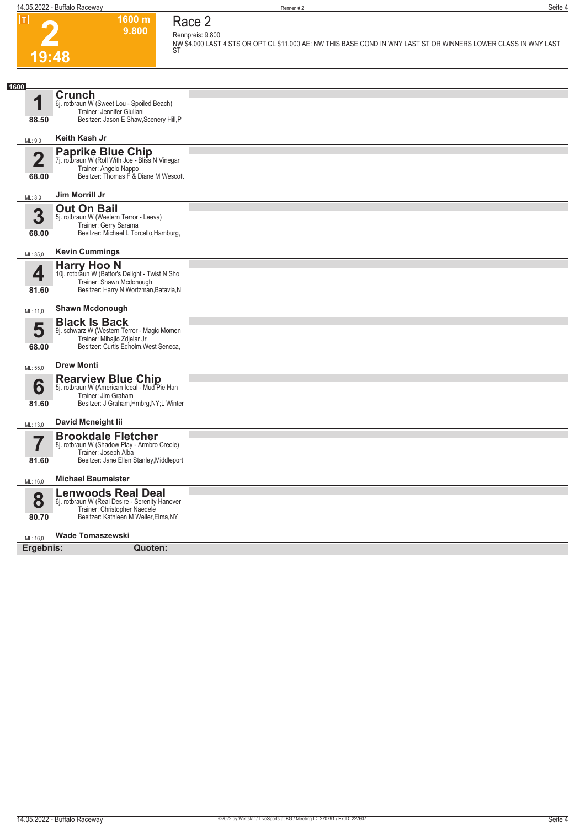**1600 m 9.800**  **Race 2**



#### **Rennpreis: 9.800 NW \$4,000 LAST 4 STS OR OPT CL \$11,000 AE: NW THIS|BASE COND IN WNY LAST ST OR WINNERS LOWER CLASS IN WNY|LAST ST**

| 1600                    |                                                                                                                                                      |  |
|-------------------------|------------------------------------------------------------------------------------------------------------------------------------------------------|--|
| 1<br>88.50              | <b>Crunch</b><br>6j. rotbraun W (Sweet Lou - Spoiled Beach)<br>Trainer: Jennifer Giuliani<br>Besitzer: Jason E Shaw, Scenery Hill, P                 |  |
| ML: 9,0                 | Keith Kash Jr                                                                                                                                        |  |
| $\overline{2}$<br>68.00 | <b>Paprike Blue Chip</b><br>7j. rotbraun W (Roll With Joe - Bliss N Vinegar<br>Trainer: Angelo Nappo<br>Besitzer: Thomas F & Diane M Wescott         |  |
| ML: 3,0                 | Jim Morrill Jr                                                                                                                                       |  |
| 3<br>68.00              | <b>Out On Bail</b><br>5j. rotbraun W (Western Terror - Leeva)<br>Trainer: Gerry Sarama<br>Besitzer: Michael L Torcello, Hamburg,                     |  |
| ML: 35,0                | <b>Kevin Cummings</b>                                                                                                                                |  |
| 4<br>81.60              | <b>Harry Hoo N</b><br>10j. rotbraun W (Bettor's Delight - Twist N Sho<br>Trainer: Shawn Mcdonough<br>Besitzer: Harry N Wortzman, Batavia, N          |  |
| ML: 11,0                | <b>Shawn Mcdonough</b>                                                                                                                               |  |
| 5<br>68.00              | <b>Black Is Back</b><br>9j. schwarz W (Western Terror - Magic Momen<br>Trainer: Mihajlo Zdjelar Jr<br>Besitzer: Curtis Edholm, West Seneca,          |  |
| ML: 55,0                | <b>Drew Monti</b>                                                                                                                                    |  |
| 6<br>81.60              | Rearview Blue Chip<br>5j. rotbraun W (American Ideal - Mud Pie Han<br>Trainer: Jim Graham<br>Besitzer: J Graham, Hmbrg, NY; L Winter                 |  |
| ML: 13,0                | David Mcneight lii                                                                                                                                   |  |
| 81.60                   | <b>Brookdale Fletcher</b><br>8j. rotbraun W (Shadow Play - Armbro Creole)<br>Trainer: Joseph Alba<br>Besitzer: Jane Ellen Stanley, Middleport        |  |
| ML: 16,0                | <b>Michael Baumeister</b>                                                                                                                            |  |
| 8<br>80.70              | <b>Lenwoods Real Deal</b><br>6j. rotbraun W (Real Desire - Serenity Hanover<br>Trainer: Christopher Naedele<br>Besitzer: Kathleen M Weller, Elma, NY |  |
| ML: 16,0                | <b>Wade Tomaszewski</b>                                                                                                                              |  |
| Ergebnis:               | Quoten:                                                                                                                                              |  |
|                         |                                                                                                                                                      |  |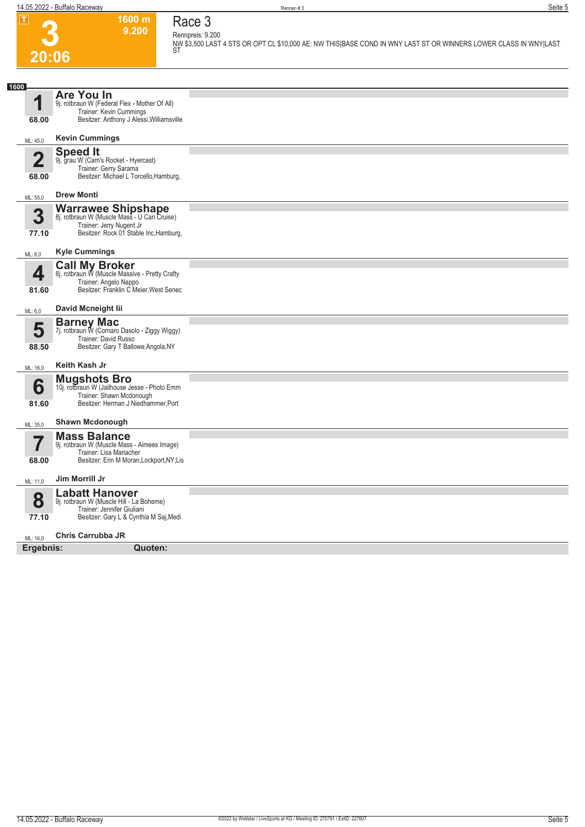**1600 m**



#### **9.200 Race 3 Rennpreis: 9.200 NW \$3,500 LAST 4 STS OR OPT CL \$10,000 AE: NW THIS|BASE COND IN WNY LAST ST OR WINNERS LOWER CLASS IN WNY|LAST ST**

| 1600                    |                                                                          |  |
|-------------------------|--------------------------------------------------------------------------|--|
|                         | <b>Are You In</b>                                                        |  |
|                         | 9j. rotbraun W (Federal Flex - Mother Of All)                            |  |
| 68.00                   | Trainer: Kevin Cummings<br>Besitzer: Anthony J Alessi, Williamsville     |  |
|                         |                                                                          |  |
| ML: 45,0                | <b>Kevin Cummings</b>                                                    |  |
|                         | <b>Speed It</b>                                                          |  |
| $\overline{\mathbf{2}}$ | 9j. grau W (Cam's Rocket - Hyercast)<br>Trainer: Gerry Sarama            |  |
| 68.00                   | Besitzer: Michael L Torcello, Hamburg,                                   |  |
|                         |                                                                          |  |
| ML: 55,0                | <b>Drew Monti</b>                                                        |  |
|                         | Warrawee Shipshape<br>8j. rotbraun W (Muscle Mass - U Can Cruise)        |  |
| 3                       | Trainer: Jerry Nugent Jr                                                 |  |
| 77.10                   | Besitzer: Rock 01 Stable Inc, Hamburg,                                   |  |
|                         |                                                                          |  |
| ML: 6,0                 | <b>Kyle Cummings</b>                                                     |  |
| 4                       | <b>Call My Broker</b><br>8j. rotbraun W (Muscle Massive - Pretty Crafty  |  |
|                         | Trainer: Angelo Nappo                                                    |  |
| 81.60                   | Besitzer: Franklin C Meier, West Senec                                   |  |
| ML: 6,0                 | David Mcneight lii                                                       |  |
|                         | <b>Barney Mac</b>                                                        |  |
| 5                       | 7j. rotbraun W (Cornaro Dasolo - Ziggy Wiggy)                            |  |
|                         | Trainer: David Russo<br>Besitzer: Gary T Ballowe, Angola, NY             |  |
| 88.50                   |                                                                          |  |
| ML: 16,0                | Keith Kash Jr                                                            |  |
|                         | <b>Mugshots Bro</b>                                                      |  |
| 6                       | 10j. rotbraun W (Jailhouse Jesse - Photo Emm<br>Trainer: Shawn Mcdonough |  |
| 81.60                   | Besitzer: Herman J Niedhammer, Port                                      |  |
|                         |                                                                          |  |
| ML: 35,0                | <b>Shawn Mcdonough</b>                                                   |  |
| 7                       | <b>Mass Balance</b>                                                      |  |
|                         | 9j. rotbraun W (Muscle Mass - Aimees Image)<br>Trainer: Lisa Mariacher   |  |
| 68.00                   | Besitzer: Erin M Moran, Lockport, NY; Lis                                |  |
|                         | Jim Morrill Jr                                                           |  |
| ML: 11,0                |                                                                          |  |
| 8                       | <b>Labatt Hanover</b><br>9j. rotbraun W (Muscle Hill - La Boheme)        |  |
|                         | Trainer: Jennifer Giuliani                                               |  |
| 77.10                   | Besitzer: Gary L & Cynthia M Saj, Medi                                   |  |
| ML: 16.0                | <b>Chris Carrubba JR</b>                                                 |  |
| Ergebnis:               | Quoten:                                                                  |  |
|                         |                                                                          |  |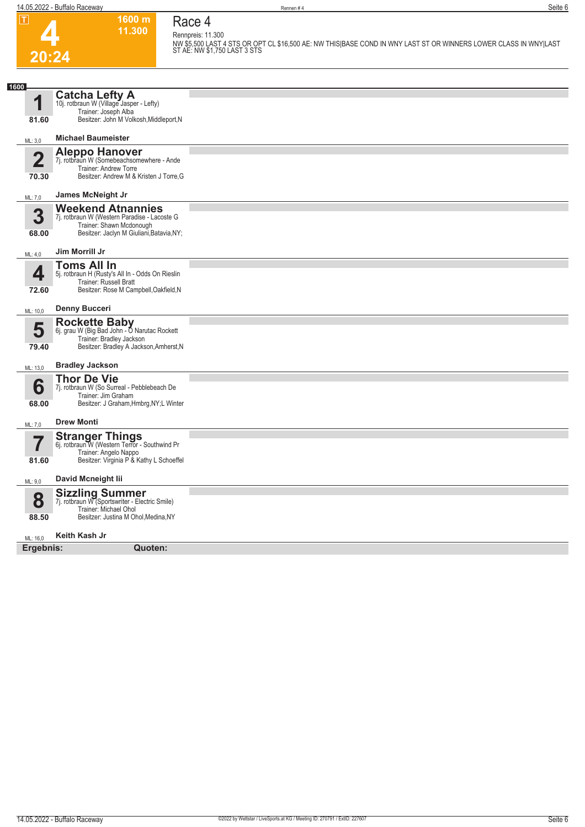## **Race 4 Rennpreis: 11.300**

**1600 m 11.300** 



**NW \$5,500 LAST 4 STS OR OPT CL \$16,500 AE: NW THIS|BASE COND IN WNY LAST ST OR WINNERS LOWER CLASS IN WNY|LAST ST AE: NW \$1,750 LAST 3 STS** 

| 1600                    |                                                                                                                                                   |  |
|-------------------------|---------------------------------------------------------------------------------------------------------------------------------------------------|--|
| q<br>81.60              | <b>Catcha Lefty A</b><br>10j. rotbraun W (Village Jasper - Lefty)<br>Trainer: Joseph Alba<br>Besitzer: John M Volkosh, Middleport, N              |  |
|                         | <b>Michael Baumeister</b>                                                                                                                         |  |
| ML: 3,0                 |                                                                                                                                                   |  |
| $\overline{\mathbf{2}}$ | <b>Aleppo Hanover</b><br>7j. rotbraun W (Somebeachsomewhere - Ande<br>Trainer: Andrew Torre                                                       |  |
| 70.30                   | Besitzer: Andrew M & Kristen J Torre, G                                                                                                           |  |
| ML: 7,0                 | James McNeight Jr                                                                                                                                 |  |
| 3<br>68.00              | <b>Weekend Atnannies</b><br>7j. rotbraun W (Western Paradise - Lacoste G<br>Trainer: Shawn Mcdonough<br>Besitzer: Jaclyn M Giuliani, Batavia, NY; |  |
| ML: 4,0                 | Jim Morrill Jr                                                                                                                                    |  |
| 4                       | <b>Toms All In</b><br>5j. rotbraun H (Rusty's All In - Odds On Rieslin<br><b>Trainer: Russell Bratt</b>                                           |  |
| 72.60                   | Besitzer: Rose M Campbell, Oakfield, N                                                                                                            |  |
| ML: 10,0                | <b>Denny Bucceri</b>                                                                                                                              |  |
| 5<br>79.40              | <b>Rockette Baby</b><br>6j. grau W (Big Bad John - O Narutac Rockett<br>Trainer: Bradley Jackson<br>Besitzer: Bradley A Jackson, Amherst, N       |  |
| ML: 13,0                | <b>Bradley Jackson</b>                                                                                                                            |  |
| 6<br>68.00              | <b>Thor De Vie</b><br>7j. rotbraun W (So Surreal - Pebblebeach De<br>Trainer: Jim Graham<br>Besitzer: J Graham, Hmbrg, NY; L Winter               |  |
| ML: 7,0                 | <b>Drew Monti</b>                                                                                                                                 |  |
| 7                       | <b>Stranger Things</b><br>6j. rotbraun W (Western Terror - Southwind Pr<br>Trainer: Angelo Nappo                                                  |  |
| 81.60                   | Besitzer: Virginia P & Kathy L Schoeffel                                                                                                          |  |
| ML: 9,0                 | David Mcneight lii                                                                                                                                |  |
| 8                       | <b>Sizzling Summer</b><br>7j. rotbraun W (Sportswriter - Electric Smile)                                                                          |  |
| 88.50                   | Trainer: Michael Ohol<br>Besitzer: Justina M Ohol, Medina, NY                                                                                     |  |
| ML: 16,0                | Keith Kash Jr                                                                                                                                     |  |
| Ergebnis:               | Quoten:                                                                                                                                           |  |
|                         |                                                                                                                                                   |  |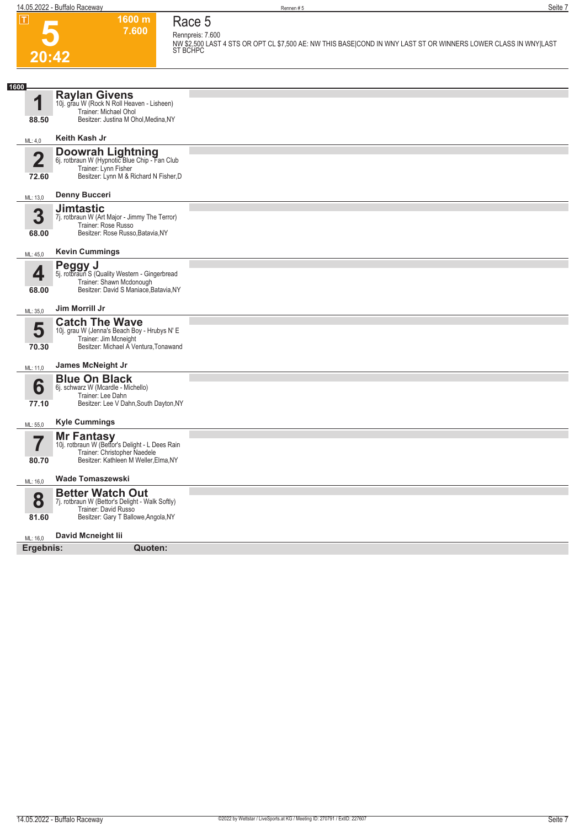

## **Race 5 Rennpreis: 7.600**

**1600 m 7.600** 

**NW \$2,500 LAST 4 STS OR OPT CL \$7,500 AE: NW THIS BASE|COND IN WNY LAST ST OR WINNERS LOWER CLASS IN WNY|LAST ST BCHPC** 

| 1600                             |                                                                                                                                            |  |
|----------------------------------|--------------------------------------------------------------------------------------------------------------------------------------------|--|
| И                                | <b>Raylan Givens</b><br>10j. grau W (Rock N Roll Heaven - Lisheen)<br>Trainer: Michael Ohol                                                |  |
| 88.50                            | Besitzer: Justina M Ohol, Medina, NY                                                                                                       |  |
| ML: 4,0                          | Keith Kash Jr                                                                                                                              |  |
| $\overline{\mathbf{2}}$<br>72.60 | Doowrah Lightning<br>6j. rotbraun W (Hypnotic Blue Chip - Fan Club<br>Trainer: Lynn Fisher<br>Besitzer: Lynn M & Richard N Fisher, D       |  |
| ML: 13,0                         | <b>Denny Bucceri</b>                                                                                                                       |  |
| 3<br>68.00                       | <b>Jimtastic</b><br>7j. rotbraun W (Art Major - Jimmy The Terror)<br>Trainer: Rose Russo<br>Besitzer: Rose Russo, Batavia, NY              |  |
| ML: 45,0                         | <b>Kevin Cummings</b>                                                                                                                      |  |
| 4<br>68.00                       | <b>Peggy J</b><br>5j. rotbraun S (Quality Western - Gingerbread<br>Trainer: Shawn Mcdonough<br>Besitzer: David S Maniace, Batavia, NY      |  |
| ML: 35,0                         | Jim Morrill Jr                                                                                                                             |  |
| 5<br>70.30                       | <b>Catch The Wave</b><br>10j. grau W (Jenna's Beach Boy - Hrubys N' E<br>Trainer: Jim Mcneight<br>Besitzer: Michael A Ventura, Tonawand    |  |
| ML: 11,0                         | James McNeight Jr                                                                                                                          |  |
| 6<br>77.10                       | <b>Blue On Black</b><br>6j. schwarz W (Mcardle - Michello)<br>Trainer: Lee Dahn<br>Besitzer: Lee V Dahn, South Dayton, NY                  |  |
| ML: 55,0                         | <b>Kyle Cummings</b>                                                                                                                       |  |
| 80.70                            | Mr Fantasy<br>10j. rotbraun W (Bettor's Delight - L Dees Rain<br>Trainer: Christopher Naedele<br>Besitzer: Kathleen M Weller, Elma, NY     |  |
| ML: 16,0                         | <b>Wade Tomaszewski</b>                                                                                                                    |  |
| 8<br>81.60                       | <b>Better Watch Out</b><br>7j. rotbraun W (Bettor's Delight - Walk Softly)<br>Trainer: David Russo<br>Besitzer: Gary T Ballowe, Angola, NY |  |
| ML: 16,0                         | David Mcneight lii                                                                                                                         |  |
| Ergebnis:                        | Quoten:                                                                                                                                    |  |
|                                  |                                                                                                                                            |  |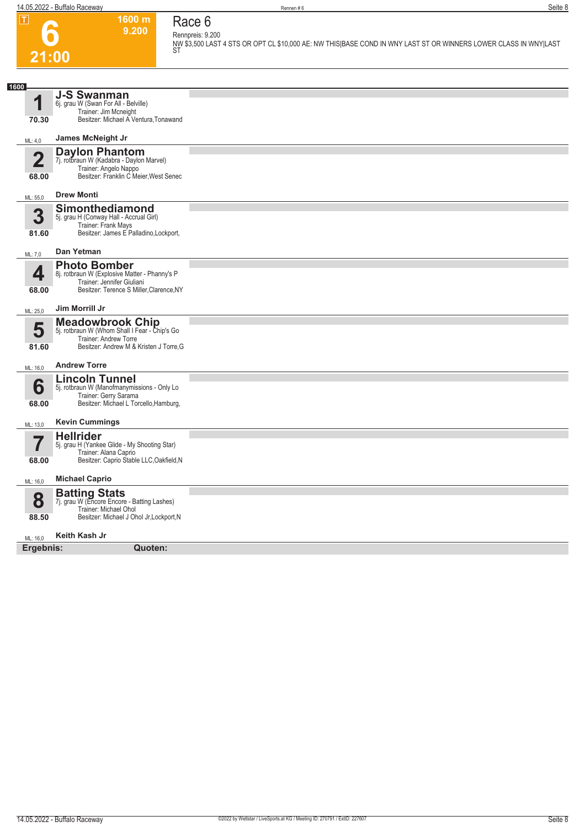

**1600 m 9.200** 

#### **Race 6 Rennpreis: 9.200**

**NW \$3,500 LAST 4 STS OR OPT CL \$10,000 AE: NW THIS|BASE COND IN WNY LAST ST OR WINNERS LOWER CLASS IN WNY|LAST ST** 

| 1600                             |                                                                                                                                                |  |
|----------------------------------|------------------------------------------------------------------------------------------------------------------------------------------------|--|
| И<br>70.30                       | <b>J-S Swanman</b><br>6j. grau W (Swan For All - Belville)<br>Trainer: Jim Mcneight<br>Besitzer: Michael A Ventura, Tonawand                   |  |
| ML: 4,0                          | James McNeight Jr                                                                                                                              |  |
| $\overline{\mathbf{2}}$<br>68.00 | <b>Daylon Phantom</b><br>7j. rotbraun W (Kadabra - Daylon Marvel)<br>Trainer: Angelo Nappo<br>Besitzer: Franklin C Meier, West Senec           |  |
| ML: 55,0                         | <b>Drew Monti</b>                                                                                                                              |  |
| 3<br>81.60                       | Simonthediamond<br>5j. grau H (Conway Hall - Accrual Girl)<br>Trainer: Frank Mays<br>Besitzer: James E Palladino, Lockport,                    |  |
| ML: 7,0                          | Dan Yetman                                                                                                                                     |  |
| 4<br>68.00                       | <b>Photo Bomber</b><br>8j. rotbraun W (Explosive Matter - Phanny's P<br>Trainer: Jennifer Giuliani<br>Besitzer: Terence S Miller, Clarence, NY |  |
| ML: 25,0                         | Jim Morrill Jr                                                                                                                                 |  |
| 5<br>81.60                       | <b>Meadowbrook Chip</b><br>5j. rotbraun W (Whom Shall I Fear - Chip's Go<br>Trainer: Andrew Torre<br>Besitzer: Andrew M & Kristen J Torre, G   |  |
| ML: 16,0                         | <b>Andrew Torre</b>                                                                                                                            |  |
| 6<br>68.00                       | <b>Lincoln Tunnel</b><br>5j. rotbraun W (Manofmanymissions - Only Lo<br>Trainer: Gerry Sarama<br>Besitzer: Michael L Torcello, Hamburg,        |  |
| ML: 13,0                         | <b>Kevin Cummings</b>                                                                                                                          |  |
| 5,<br>I<br>68.00                 | <b>Hellrider</b><br>5j. grau H (Yankee Glide - My Shooting Star)<br>Trainer: Alana Caprio<br>Besitzer: Caprio Stable LLC, Oakfield, N          |  |
| ML: 16,0                         | <b>Michael Caprio</b>                                                                                                                          |  |
| 8<br>88.50                       | <b>Batting Stats</b><br>7j. grau W (Encore Encore - Batting Lashes)<br>Trainer: Michael Ohol<br>Besitzer: Michael J Ohol Jr, Lockport, N       |  |
| ML: 16.0                         | Keith Kash Jr                                                                                                                                  |  |
| Ergebnis:                        | Quoten:                                                                                                                                        |  |
|                                  |                                                                                                                                                |  |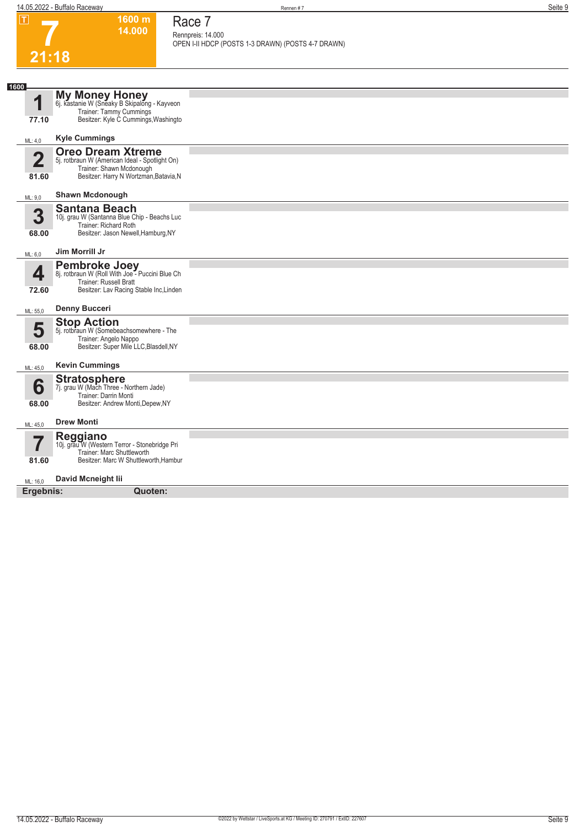**1600 m**

**Race 7**

**7**

| 21:18<br><b>My Money Honey</b><br>1<br>6j. kastanie W (Sneaky B Skipalong - Kayveon<br><b>Trainer: Tammy Cummings</b><br>Besitzer: Kyle C Cummings, Washingto<br>77.10<br><b>Kyle Cummings</b><br>ML: 4,0<br><b>Oreo Dream Xtreme</b><br>$\overline{\mathbf{2}}$<br>5j. rotbraun W (American Ideal - Spotlight On)<br>Trainer: Shawn Mcdonough<br>Besitzer: Harry N Wortzman, Batavia, N<br>81.60<br><b>Shawn Mcdonough</b><br>ML: 9,0<br><b>Santana Beach</b><br>3<br>10j. grau W (Santanna Blue Chip - Beachs Luc<br>Trainer: Richard Roth<br>Besitzer: Jason Newell, Hamburg, NY<br>68.00<br>Jim Morrill Jr<br>ML: 6,0<br>Pembroke Joey<br>8j. rotbraun W (Roll With Joe - Puccini Blue Ch<br>4<br>Trainer: Russell Bratt<br>Besitzer: Lav Racing Stable Inc, Linden<br>72.60<br><b>Denny Bucceri</b><br>ML: 55,0<br><b>Stop Action</b><br>5<br>5j. rotbraun W (Somebeachsomewhere - The<br>Trainer: Angelo Nappo<br>Besitzer: Super Mile LLC, Blasdell, NY<br>68.00<br><b>Kevin Cummings</b><br>ML: 45,0<br><b>Stratosphere</b><br>6<br>7j. grau W (Mach Three - Northern Jade)<br>Trainer: Darrin Monti<br>Besitzer: Andrew Monti, Depew, NY<br>68.00<br><b>Drew Monti</b><br>ML: 45,0<br><b>Reggiano</b><br>10j. grau W (Western Terror - Stonebridge Pri<br>Trainer: Marc Shuttleworth<br>Besitzer: Marc W Shuttleworth, Hambur<br>81.60<br>David Mcneight lii<br>ML: 16,0<br>Ergebnis:<br>Quoten: |      | 14.000 | Rennpreis: 14.000<br>OPEN I-II HDCP (POSTS 1-3 DRAWN) (POSTS 4-7 DRAWN) |
|-----------------------------------------------------------------------------------------------------------------------------------------------------------------------------------------------------------------------------------------------------------------------------------------------------------------------------------------------------------------------------------------------------------------------------------------------------------------------------------------------------------------------------------------------------------------------------------------------------------------------------------------------------------------------------------------------------------------------------------------------------------------------------------------------------------------------------------------------------------------------------------------------------------------------------------------------------------------------------------------------------------------------------------------------------------------------------------------------------------------------------------------------------------------------------------------------------------------------------------------------------------------------------------------------------------------------------------------------------------------------------------------------------------|------|--------|-------------------------------------------------------------------------|
|                                                                                                                                                                                                                                                                                                                                                                                                                                                                                                                                                                                                                                                                                                                                                                                                                                                                                                                                                                                                                                                                                                                                                                                                                                                                                                                                                                                                           |      |        |                                                                         |
|                                                                                                                                                                                                                                                                                                                                                                                                                                                                                                                                                                                                                                                                                                                                                                                                                                                                                                                                                                                                                                                                                                                                                                                                                                                                                                                                                                                                           |      |        |                                                                         |
|                                                                                                                                                                                                                                                                                                                                                                                                                                                                                                                                                                                                                                                                                                                                                                                                                                                                                                                                                                                                                                                                                                                                                                                                                                                                                                                                                                                                           | 1600 |        |                                                                         |
|                                                                                                                                                                                                                                                                                                                                                                                                                                                                                                                                                                                                                                                                                                                                                                                                                                                                                                                                                                                                                                                                                                                                                                                                                                                                                                                                                                                                           |      |        |                                                                         |
|                                                                                                                                                                                                                                                                                                                                                                                                                                                                                                                                                                                                                                                                                                                                                                                                                                                                                                                                                                                                                                                                                                                                                                                                                                                                                                                                                                                                           |      |        |                                                                         |
|                                                                                                                                                                                                                                                                                                                                                                                                                                                                                                                                                                                                                                                                                                                                                                                                                                                                                                                                                                                                                                                                                                                                                                                                                                                                                                                                                                                                           |      |        |                                                                         |
|                                                                                                                                                                                                                                                                                                                                                                                                                                                                                                                                                                                                                                                                                                                                                                                                                                                                                                                                                                                                                                                                                                                                                                                                                                                                                                                                                                                                           |      |        |                                                                         |
|                                                                                                                                                                                                                                                                                                                                                                                                                                                                                                                                                                                                                                                                                                                                                                                                                                                                                                                                                                                                                                                                                                                                                                                                                                                                                                                                                                                                           |      |        |                                                                         |
|                                                                                                                                                                                                                                                                                                                                                                                                                                                                                                                                                                                                                                                                                                                                                                                                                                                                                                                                                                                                                                                                                                                                                                                                                                                                                                                                                                                                           |      |        |                                                                         |
|                                                                                                                                                                                                                                                                                                                                                                                                                                                                                                                                                                                                                                                                                                                                                                                                                                                                                                                                                                                                                                                                                                                                                                                                                                                                                                                                                                                                           |      |        |                                                                         |
|                                                                                                                                                                                                                                                                                                                                                                                                                                                                                                                                                                                                                                                                                                                                                                                                                                                                                                                                                                                                                                                                                                                                                                                                                                                                                                                                                                                                           |      |        |                                                                         |
|                                                                                                                                                                                                                                                                                                                                                                                                                                                                                                                                                                                                                                                                                                                                                                                                                                                                                                                                                                                                                                                                                                                                                                                                                                                                                                                                                                                                           |      |        |                                                                         |
|                                                                                                                                                                                                                                                                                                                                                                                                                                                                                                                                                                                                                                                                                                                                                                                                                                                                                                                                                                                                                                                                                                                                                                                                                                                                                                                                                                                                           |      |        |                                                                         |
|                                                                                                                                                                                                                                                                                                                                                                                                                                                                                                                                                                                                                                                                                                                                                                                                                                                                                                                                                                                                                                                                                                                                                                                                                                                                                                                                                                                                           |      |        |                                                                         |
|                                                                                                                                                                                                                                                                                                                                                                                                                                                                                                                                                                                                                                                                                                                                                                                                                                                                                                                                                                                                                                                                                                                                                                                                                                                                                                                                                                                                           |      |        |                                                                         |
|                                                                                                                                                                                                                                                                                                                                                                                                                                                                                                                                                                                                                                                                                                                                                                                                                                                                                                                                                                                                                                                                                                                                                                                                                                                                                                                                                                                                           |      |        |                                                                         |
|                                                                                                                                                                                                                                                                                                                                                                                                                                                                                                                                                                                                                                                                                                                                                                                                                                                                                                                                                                                                                                                                                                                                                                                                                                                                                                                                                                                                           |      |        |                                                                         |
|                                                                                                                                                                                                                                                                                                                                                                                                                                                                                                                                                                                                                                                                                                                                                                                                                                                                                                                                                                                                                                                                                                                                                                                                                                                                                                                                                                                                           |      |        |                                                                         |
|                                                                                                                                                                                                                                                                                                                                                                                                                                                                                                                                                                                                                                                                                                                                                                                                                                                                                                                                                                                                                                                                                                                                                                                                                                                                                                                                                                                                           |      |        |                                                                         |
|                                                                                                                                                                                                                                                                                                                                                                                                                                                                                                                                                                                                                                                                                                                                                                                                                                                                                                                                                                                                                                                                                                                                                                                                                                                                                                                                                                                                           |      |        |                                                                         |
|                                                                                                                                                                                                                                                                                                                                                                                                                                                                                                                                                                                                                                                                                                                                                                                                                                                                                                                                                                                                                                                                                                                                                                                                                                                                                                                                                                                                           |      |        |                                                                         |
|                                                                                                                                                                                                                                                                                                                                                                                                                                                                                                                                                                                                                                                                                                                                                                                                                                                                                                                                                                                                                                                                                                                                                                                                                                                                                                                                                                                                           |      |        |                                                                         |
|                                                                                                                                                                                                                                                                                                                                                                                                                                                                                                                                                                                                                                                                                                                                                                                                                                                                                                                                                                                                                                                                                                                                                                                                                                                                                                                                                                                                           |      |        |                                                                         |
|                                                                                                                                                                                                                                                                                                                                                                                                                                                                                                                                                                                                                                                                                                                                                                                                                                                                                                                                                                                                                                                                                                                                                                                                                                                                                                                                                                                                           |      |        |                                                                         |
|                                                                                                                                                                                                                                                                                                                                                                                                                                                                                                                                                                                                                                                                                                                                                                                                                                                                                                                                                                                                                                                                                                                                                                                                                                                                                                                                                                                                           |      |        |                                                                         |
|                                                                                                                                                                                                                                                                                                                                                                                                                                                                                                                                                                                                                                                                                                                                                                                                                                                                                                                                                                                                                                                                                                                                                                                                                                                                                                                                                                                                           |      |        |                                                                         |
|                                                                                                                                                                                                                                                                                                                                                                                                                                                                                                                                                                                                                                                                                                                                                                                                                                                                                                                                                                                                                                                                                                                                                                                                                                                                                                                                                                                                           |      |        |                                                                         |
|                                                                                                                                                                                                                                                                                                                                                                                                                                                                                                                                                                                                                                                                                                                                                                                                                                                                                                                                                                                                                                                                                                                                                                                                                                                                                                                                                                                                           |      |        |                                                                         |
|                                                                                                                                                                                                                                                                                                                                                                                                                                                                                                                                                                                                                                                                                                                                                                                                                                                                                                                                                                                                                                                                                                                                                                                                                                                                                                                                                                                                           |      |        |                                                                         |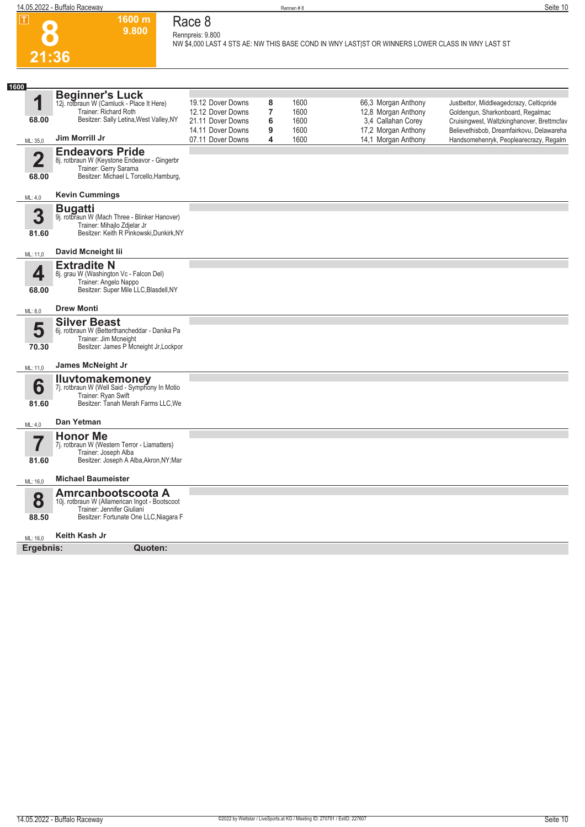

### **Race 8 Rennpreis: 9.800**

**1600 m 9.800** 

**NW \$4,000 LAST 4 STS AE: NW THIS BASE COND IN WNY LAST|ST OR WINNERS LOWER CLASS IN WNY LAST ST** 

| 1600                             |                                                                                                                                                              |                                                                                                       |                                    |                                      |                                                                                                                |                                                                                                                                                                                                                    |
|----------------------------------|--------------------------------------------------------------------------------------------------------------------------------------------------------------|-------------------------------------------------------------------------------------------------------|------------------------------------|--------------------------------------|----------------------------------------------------------------------------------------------------------------|--------------------------------------------------------------------------------------------------------------------------------------------------------------------------------------------------------------------|
| 1<br>68.00<br>ML: 35,0           | <b>Beginner's Luck</b><br>12j. rotbraun W (Camluck - Place It Here)<br>Trainer: Richard Roth<br>Besitzer: Sally Letina, West Valley, NY<br>Jim Morrill Jr    | 19.12 Dover Downs<br>12.12 Dover Downs<br>21.11 Dover Downs<br>14.11 Dover Downs<br>07.11 Dover Downs | 8<br>$\overline{7}$<br>6<br>9<br>4 | 1600<br>1600<br>1600<br>1600<br>1600 | 66,3 Morgan Anthony<br>12,8 Morgan Anthony<br>3.4 Callahan Corey<br>17,2 Morgan Anthony<br>14,1 Morgan Anthony | Justbettor, Middleagedcrazy, Celticpride<br>Goldengun, Sharkonboard, Regalmac<br>Cruisingwest, Waltzkinghanover, Brettmcfav<br>Believethisbob, Dreamfairkovu, Delawareha<br>Handsomehenryk, Peoplearecrazy, Regalm |
| $\mathbf 2$<br>68.00             | <b>Endeavors Pride</b><br>8j. rotbraun W (Keystone Endeavor - Gingerbr<br>Trainer: Gerry Sarama<br>Besitzer: Michael L Torcello, Hamburg,                    |                                                                                                       |                                    |                                      |                                                                                                                |                                                                                                                                                                                                                    |
| ML: 4,0                          | <b>Kevin Cummings</b>                                                                                                                                        |                                                                                                       |                                    |                                      |                                                                                                                |                                                                                                                                                                                                                    |
| 3<br>81.60                       | <b>Bugatti</b><br>9j. rotbraun W (Mach Three - Blinker Hanover)<br>Trainer: Mihajlo Zdjelar Jr<br>Besitzer: Keith R Pinkowski.Dunkirk.NY                     |                                                                                                       |                                    |                                      |                                                                                                                |                                                                                                                                                                                                                    |
| ML: 11,0                         | David Mcneight lii                                                                                                                                           |                                                                                                       |                                    |                                      |                                                                                                                |                                                                                                                                                                                                                    |
| 4<br>68.00                       | <b>Extradite N</b><br>8j. grau W (Washington Vc - Falcon Del)<br>Trainer: Angelo Nappo<br>Besitzer: Super Mile LLC, Blasdell, NY                             |                                                                                                       |                                    |                                      |                                                                                                                |                                                                                                                                                                                                                    |
| ML: 8,0                          | <b>Drew Monti</b>                                                                                                                                            |                                                                                                       |                                    |                                      |                                                                                                                |                                                                                                                                                                                                                    |
| 5<br>70.30                       | <b>Silver Beast</b><br>6j. rotbraun W (Betterthancheddar - Danika Pa<br>Trainer: Jim Mcneight<br>Besitzer: James P Mcneight Jr, Lockpor<br>James McNeight Jr |                                                                                                       |                                    |                                      |                                                                                                                |                                                                                                                                                                                                                    |
| ML: 11,0                         |                                                                                                                                                              |                                                                                                       |                                    |                                      |                                                                                                                |                                                                                                                                                                                                                    |
| 6<br>81.60                       | <b>Iluvtomakemoney</b><br>7j. rotbraun W (Well Said - Symphony In Motio<br>Trainer: Rvan Swift<br>Besitzer: Tanah Merah Farms LLC, We                        |                                                                                                       |                                    |                                      |                                                                                                                |                                                                                                                                                                                                                    |
| ML: 4,0                          | Dan Yetman                                                                                                                                                   |                                                                                                       |                                    |                                      |                                                                                                                |                                                                                                                                                                                                                    |
| $\overline{\mathbf{7}}$<br>81.60 | <b>Honor Me</b><br>7j. rotbraun W (Western Terror - Liamatters)<br>Trainer: Joseph Alba<br>Besitzer: Joseph A Alba, Akron, NY; Mar                           |                                                                                                       |                                    |                                      |                                                                                                                |                                                                                                                                                                                                                    |
| ML: 16,0                         | <b>Michael Baumeister</b>                                                                                                                                    |                                                                                                       |                                    |                                      |                                                                                                                |                                                                                                                                                                                                                    |
| 8<br>88.50                       | Amrcanbootscoota A<br>10j. rotbraun W (Allamerican Ingot - Bootscoot<br>Trainer: Jennifer Giuliani<br>Besitzer: Fortunate One LLC, Niagara F                 |                                                                                                       |                                    |                                      |                                                                                                                |                                                                                                                                                                                                                    |
| ML: 16.0                         | Keith Kash Jr                                                                                                                                                |                                                                                                       |                                    |                                      |                                                                                                                |                                                                                                                                                                                                                    |
| Ergebnis:                        | Quoten:                                                                                                                                                      |                                                                                                       |                                    |                                      |                                                                                                                |                                                                                                                                                                                                                    |